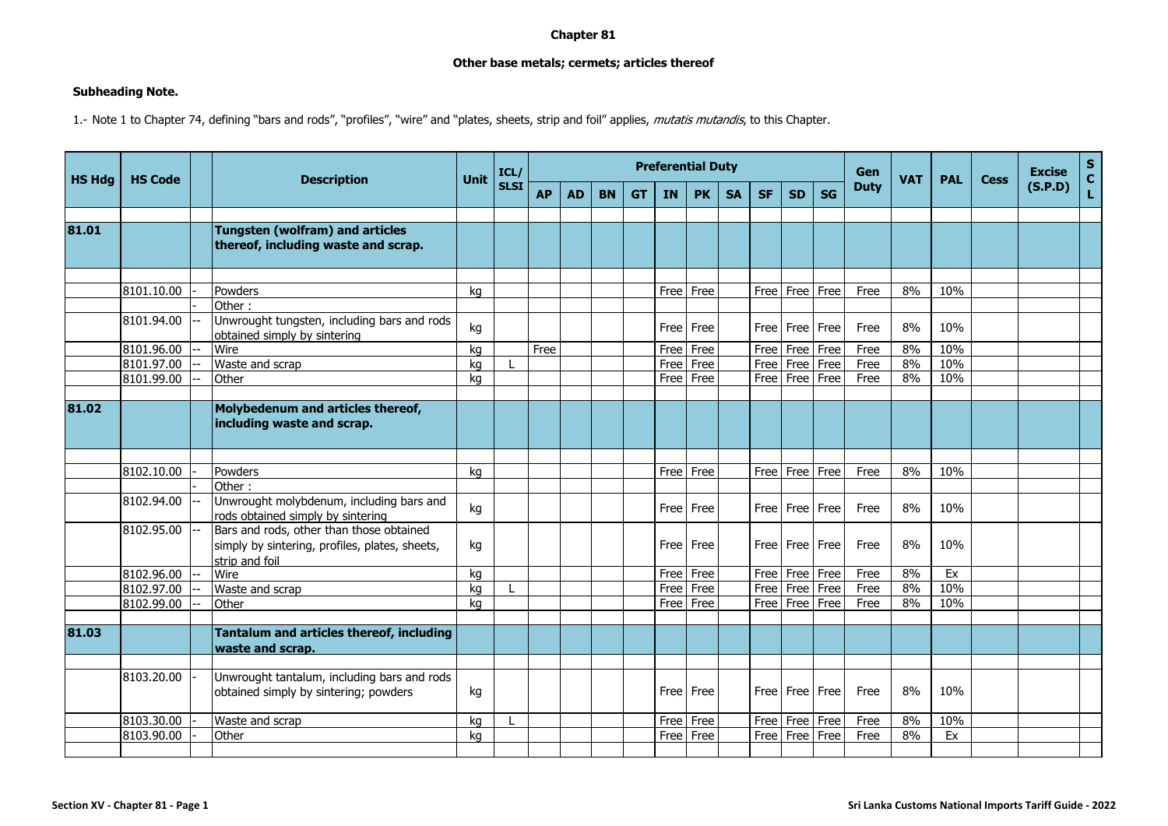## **Chapter 81**

## **Other base metals; cermets; articles thereof**

## **Subheading Note.**

1.- Note 1 to Chapter 74, defining "bars and rods", "profiles", "wire" and "plates, sheets, strip and foil" applies, *mutatis mutandis*, to this Chapter.

| <b>HS Hdg</b> | <b>HS Code</b> |  | <b>Description</b>                                                                                           | Unit | ICL/<br><b>SLSI</b> | <b>Preferential Duty</b> |           |           |           |      |           |           |           |           |           |             | <b>VAT</b> | <b>PAL</b> | <b>Cess</b> | <b>Excise</b> | s<br>C |
|---------------|----------------|--|--------------------------------------------------------------------------------------------------------------|------|---------------------|--------------------------|-----------|-----------|-----------|------|-----------|-----------|-----------|-----------|-----------|-------------|------------|------------|-------------|---------------|--------|
|               |                |  |                                                                                                              |      |                     | <b>AP</b>                | <b>AD</b> | <b>BN</b> | <b>GT</b> | IN   | <b>PK</b> | <b>SA</b> | <b>SF</b> | <b>SD</b> | <b>SG</b> | <b>Duty</b> |            |            |             | (S.P.D)       | L      |
|               |                |  |                                                                                                              |      |                     |                          |           |           |           |      |           |           |           |           |           |             |            |            |             |               |        |
| 81.01         |                |  | <b>Tungsten (wolfram) and articles</b><br>thereof, including waste and scrap.                                |      |                     |                          |           |           |           |      |           |           |           |           |           |             |            |            |             |               |        |
|               |                |  |                                                                                                              |      |                     |                          |           |           |           |      |           |           |           |           |           |             |            |            |             |               |        |
|               | 8101.10.00     |  | Powders                                                                                                      | kg   |                     |                          |           |           |           |      | Free Free |           | Free      | Free      | Free      | Free        | 8%         | 10%        |             |               |        |
|               | 8101.94.00     |  | Other:<br>Unwrought tungsten, including bars and rods<br>obtained simply by sintering                        | kg   |                     |                          |           |           |           |      | Free Free |           | Free I    | Free      | Free      | Free        | 8%         | 10%        |             |               |        |
|               | 8101.96.00     |  | Wire                                                                                                         | kg   |                     | Free                     |           |           |           | Free | Free      |           | Free      | Free      | Free      | Free        | 8%         | 10%        |             |               |        |
|               | 8101.97.00     |  | Waste and scrap                                                                                              | kg   |                     |                          |           |           |           | Free | Free      |           | Free      | Free      | Free      | Free        | 8%         | 10%        |             |               |        |
|               | 8101.99.00     |  | Other                                                                                                        | kg   |                     |                          |           |           |           |      | Free Free |           | Free      | Free      | Free      | Free        | 8%         | 10%        |             |               |        |
|               |                |  |                                                                                                              |      |                     |                          |           |           |           |      |           |           |           |           |           |             |            |            |             |               |        |
| 81.02         |                |  | Molybedenum and articles thereof,<br>including waste and scrap.                                              |      |                     |                          |           |           |           |      |           |           |           |           |           |             |            |            |             |               |        |
|               |                |  |                                                                                                              |      |                     |                          |           |           |           |      |           |           |           |           |           |             |            |            |             |               |        |
|               | 8102.10.00     |  | Powders                                                                                                      | kg   |                     |                          |           |           |           |      | Free Free |           | Free      | Free      | Free      | Free        | 8%         | 10%        |             |               |        |
|               |                |  | Other:                                                                                                       |      |                     |                          |           |           |           |      |           |           |           |           |           |             |            |            |             |               |        |
|               | 8102.94.00     |  | Unwrought molybdenum, including bars and<br>rods obtained simply by sintering                                | kg   |                     |                          |           |           |           |      | Free Free |           | Free      | Free      | Free      | Free        | 8%         | 10%        |             |               |        |
|               | 8102.95.00     |  | Bars and rods, other than those obtained<br>simply by sintering, profiles, plates, sheets,<br>strip and foil | kg   |                     |                          |           |           |           |      | Free Free |           | Free      | Free Free |           | Free        | 8%         | 10%        |             |               |        |
|               | 8102.96.00     |  | Wire                                                                                                         | ka   |                     |                          |           |           |           |      | Free Free |           | Free      | Free      | Free      | Free        | 8%         | Ex         |             |               |        |
|               | 8102.97.00     |  | Waste and scrap                                                                                              | kg   |                     |                          |           |           |           |      | Free Free |           | Free      | Free      | Free      | Free        | 8%         | 10%        |             |               |        |
|               | 8102.99.00     |  | Other                                                                                                        | ka   |                     |                          |           |           |           |      | Free Free |           | Free      | Free      | Free      | Free        | 8%         | 10%        |             |               |        |
|               |                |  |                                                                                                              |      |                     |                          |           |           |           |      |           |           |           |           |           |             |            |            |             |               |        |
| 81.03         |                |  | Tantalum and articles thereof, including<br>waste and scrap.                                                 |      |                     |                          |           |           |           |      |           |           |           |           |           |             |            |            |             |               |        |
|               | 8103.20.00     |  | Unwrought tantalum, including bars and rods                                                                  |      |                     |                          |           |           |           |      |           |           |           |           |           |             |            |            |             |               |        |
|               |                |  | obtained simply by sintering; powders                                                                        | kg   |                     |                          |           |           |           |      | Free Free |           | Free      | Free      | Free      | Free        | 8%         | 10%        |             |               |        |
|               | 8103.30.00     |  | Waste and scrap                                                                                              | ka   |                     |                          |           |           |           | Free | Free      |           | Free      | Free      | Free      | Free        | 8%         | 10%        |             |               |        |
|               | 8103.90.00     |  | Other                                                                                                        | kg   |                     |                          |           |           |           | Free | Free      |           | Free      | Free      | Free      | Free        | 8%         | Ex         |             |               |        |
|               |                |  |                                                                                                              |      |                     |                          |           |           |           |      |           |           |           |           |           |             |            |            |             |               |        |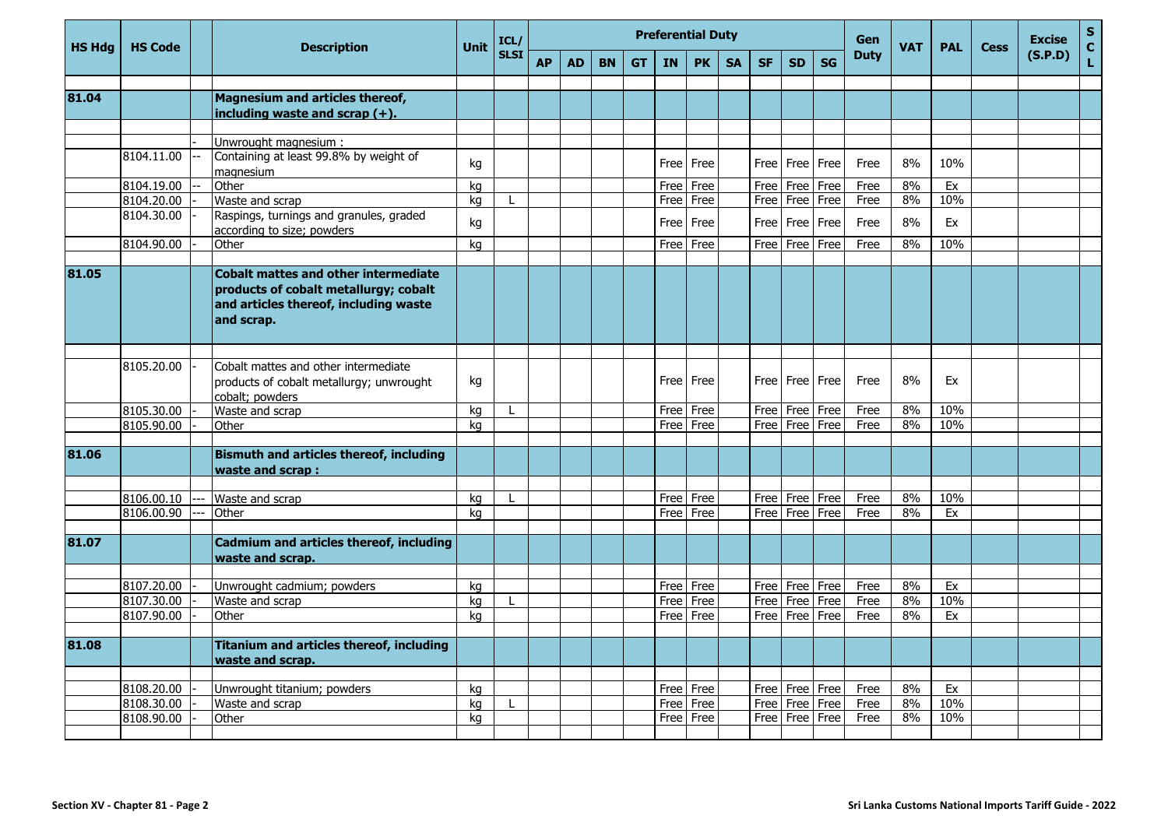| <b>HS Hda</b> | <b>HS Code</b>           | <b>Description</b>                                                                                                                          | <b>Unit</b> | ICL/        | <b>Preferential Duty</b><br>Gen<br><b>VAT</b><br><b>PAL</b><br><b>Cess</b> |           |           |           |           |                        |           |           |                    |                                      |              |          |            | <b>Excise</b> | s<br>C  |    |
|---------------|--------------------------|---------------------------------------------------------------------------------------------------------------------------------------------|-------------|-------------|----------------------------------------------------------------------------|-----------|-----------|-----------|-----------|------------------------|-----------|-----------|--------------------|--------------------------------------|--------------|----------|------------|---------------|---------|----|
|               |                          |                                                                                                                                             |             | <b>SLSI</b> | <b>AP</b>                                                                  | <b>AD</b> | <b>BN</b> | <b>GT</b> | <b>IN</b> | <b>PK</b>              | <b>SA</b> | <b>SF</b> | <b>SD</b>          | <b>SG</b>                            | <b>Duty</b>  |          |            |               | (S.P.D) | Ĺ. |
|               |                          |                                                                                                                                             |             |             |                                                                            |           |           |           |           |                        |           |           |                    |                                      |              |          |            |               |         |    |
| 81.04         |                          | <b>Magnesium and articles thereof,</b>                                                                                                      |             |             |                                                                            |           |           |           |           |                        |           |           |                    |                                      |              |          |            |               |         |    |
|               |                          | including waste and scrap $(+)$ .                                                                                                           |             |             |                                                                            |           |           |           |           |                        |           |           |                    |                                      |              |          |            |               |         |    |
|               |                          | Unwrought magnesium:                                                                                                                        |             |             |                                                                            |           |           |           |           |                        |           |           |                    |                                      |              |          |            |               |         |    |
|               | 8104.11.00               | Containing at least 99.8% by weight of<br>magnesium                                                                                         | kg          |             |                                                                            |           |           |           | Free      | Free                   |           | Free I    | Free               | Free                                 | Free         | 8%       | 10%        |               |         |    |
|               | 8104.19.00               | Other                                                                                                                                       | kg          |             |                                                                            |           |           |           | Free      | Free                   |           |           | Free   Free   Free |                                      | Free         | 8%       | Ex         |               |         |    |
|               | 8104.20.00               | Waste and scrap                                                                                                                             | kg          |             |                                                                            |           |           |           | Free      | Free                   |           |           |                    | Free   Free   Free                   | Free         | 8%       | 10%        |               |         |    |
|               | 8104.30.00               | Raspings, turnings and granules, graded<br>according to size; powders                                                                       | kg          |             |                                                                            |           |           |           | Free      | Free                   |           | Free      | Free               | Free                                 | Free         | 8%       | Ex         |               |         |    |
|               | 8104.90.00               | Other                                                                                                                                       | kg          |             |                                                                            |           |           |           | Free      | Free                   |           | Free      | Free               | Free                                 | Free         | 8%       | 10%        |               |         |    |
| 81.05         |                          | <b>Cobalt mattes and other intermediate</b><br>products of cobalt metallurgy; cobalt<br>and articles thereof, including waste<br>and scrap. |             |             |                                                                            |           |           |           |           |                        |           |           |                    |                                      |              |          |            |               |         |    |
|               |                          |                                                                                                                                             |             |             |                                                                            |           |           |           |           |                        |           |           |                    |                                      |              |          |            |               |         |    |
|               | 8105.20.00               | Cobalt mattes and other intermediate<br>products of cobalt metallurgy; unwrought<br>cobalt; powders                                         | kg          |             |                                                                            |           |           |           | Free      | Free                   |           | Free      | Free               | Free                                 | Free         | 8%       | Ex         |               |         |    |
|               | 8105.30.00               | Waste and scrap                                                                                                                             | kg          |             |                                                                            |           |           |           | Free      | Free                   |           | Free      |                    | Free Free                            | Free         | 8%       | 10%        |               |         |    |
|               | 8105.90.00               | Other                                                                                                                                       | kg          |             |                                                                            |           |           |           | Free      | Free                   |           |           |                    | Free   Free   Free                   | Free         | 8%       | 10%        |               |         |    |
|               |                          |                                                                                                                                             |             |             |                                                                            |           |           |           |           |                        |           |           |                    |                                      |              |          |            |               |         |    |
| 81.06         |                          | <b>Bismuth and articles thereof, including</b><br>waste and scrap:                                                                          |             |             |                                                                            |           |           |           |           |                        |           |           |                    |                                      |              |          |            |               |         |    |
|               |                          |                                                                                                                                             |             |             |                                                                            |           |           |           |           |                        |           |           |                    |                                      |              |          |            |               |         |    |
|               | 8106.00.10               | Waste and scrap                                                                                                                             | kg          |             |                                                                            |           |           |           | Free      | Free                   |           | Free      | Free               | Free                                 | Free         | 8%       | 10%        |               |         |    |
|               | 8106.00.90               | Other                                                                                                                                       | kg          |             |                                                                            |           |           |           | Free      | Free                   |           | Free      | Free               | Free                                 | Free         | 8%       | Ex         |               |         |    |
| 81.07         |                          | <b>Cadmium and articles thereof, including</b><br>waste and scrap.                                                                          |             |             |                                                                            |           |           |           |           |                        |           |           |                    |                                      |              |          |            |               |         |    |
|               |                          |                                                                                                                                             |             |             |                                                                            |           |           |           |           |                        |           |           |                    |                                      |              |          |            |               |         |    |
|               | 8107.20.00               | Unwrought cadmium; powders                                                                                                                  | kg          |             |                                                                            |           |           |           | Free      | Free                   |           |           | Free   Free   Free |                                      | Free         | 8%       | Ex         |               |         |    |
|               | 8107.30.00               | Waste and scrap                                                                                                                             | kg          |             |                                                                            |           |           |           | Free      | Free<br>Free           |           | Free      | Free               | Free<br>Free                         | Free         | 8%<br>8% | 10%        |               |         |    |
|               | 8107.90.00               | Other                                                                                                                                       | kg          |             |                                                                            |           |           |           | Free      |                        |           | Free      | Free               |                                      | Free         |          | Ex         |               |         |    |
| 81.08         |                          | <b>Titanium and articles thereof, including</b><br>waste and scrap.                                                                         |             |             |                                                                            |           |           |           |           |                        |           |           |                    |                                      |              |          |            |               |         |    |
|               |                          |                                                                                                                                             |             |             |                                                                            |           |           |           |           |                        |           |           |                    |                                      |              |          |            |               |         |    |
|               | 8108.20.00               | Unwrought titanium; powders                                                                                                                 | kg          |             |                                                                            |           |           |           |           | Free Free              |           |           |                    | Free   Free   Free                   | Free         | 8%       | Ex         |               |         |    |
|               | 8108.30.00<br>8108.90.00 | Waste and scrap<br>Other                                                                                                                    | kg<br>kg    |             |                                                                            |           |           |           |           | Free Free<br>Free Free |           |           |                    | Free Free Free<br>Free   Free   Free | Free<br>Free | 8%<br>8% | 10%<br>10% |               |         |    |
|               |                          |                                                                                                                                             |             |             |                                                                            |           |           |           |           |                        |           |           |                    |                                      |              |          |            |               |         |    |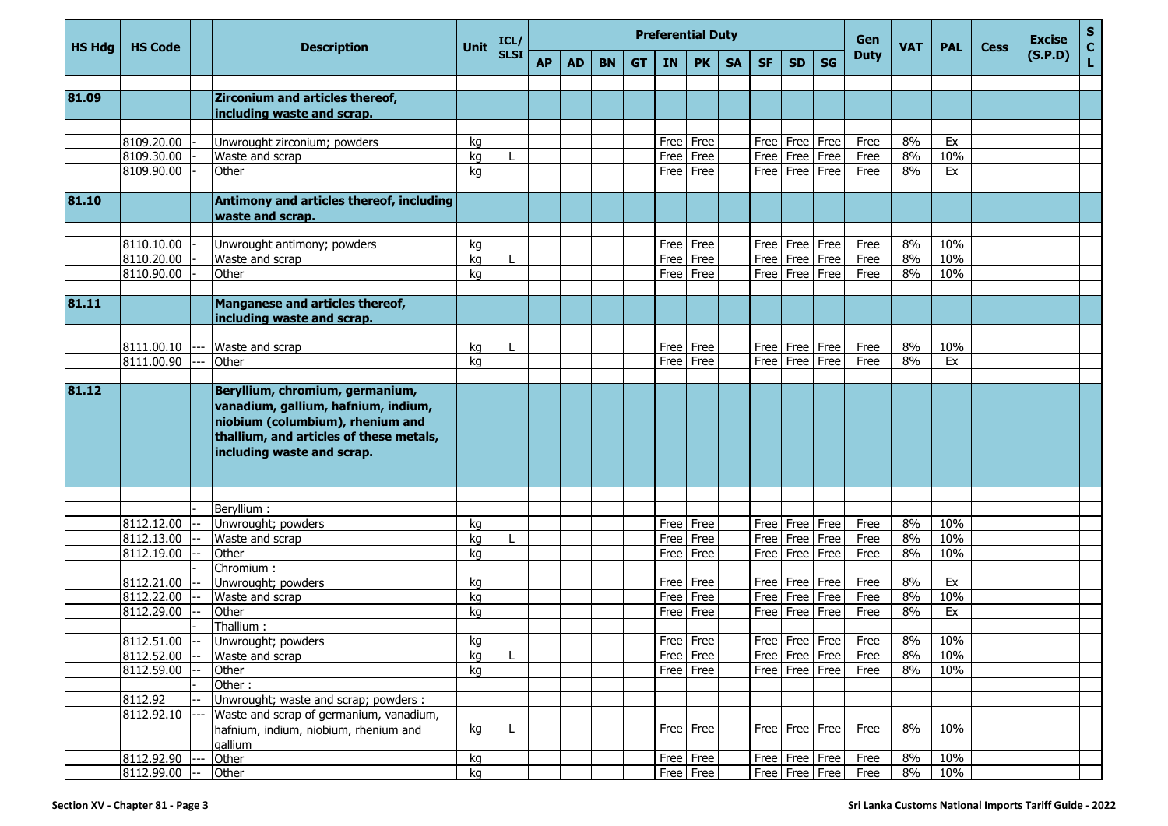| <b>HS Hdg</b> | <b>HS Code</b>           |  | <b>Description</b>                                                                                                                                                                  | <b>Unit</b> | ICL/        | <b>Preferential Duty</b> |    |           |           |           |              |           |              |                    |                    | Gen          | <b>VAT</b> | <b>PAL</b> | <b>Cess</b> | <b>Excise</b> | $\mathbf{s}$<br>$\mathbf c$ |
|---------------|--------------------------|--|-------------------------------------------------------------------------------------------------------------------------------------------------------------------------------------|-------------|-------------|--------------------------|----|-----------|-----------|-----------|--------------|-----------|--------------|--------------------|--------------------|--------------|------------|------------|-------------|---------------|-----------------------------|
|               |                          |  |                                                                                                                                                                                     |             | <b>SLSI</b> | <b>AP</b>                | AD | <b>BN</b> | <b>GT</b> | <b>IN</b> | <b>PK</b>    | <b>SA</b> | <b>SF</b>    | <b>SD</b>          | <b>SG</b>          | <b>Duty</b>  |            |            |             | (S.P.D)       |                             |
| 81.09         |                          |  | <b>Zirconium and articles thereof,</b><br>including waste and scrap.                                                                                                                |             |             |                          |    |           |           |           |              |           |              |                    |                    |              |            |            |             |               |                             |
|               |                          |  |                                                                                                                                                                                     |             |             |                          |    |           |           |           |              |           |              |                    |                    |              |            |            |             |               |                             |
|               | 8109.20.00               |  | Unwrought zirconium; powders                                                                                                                                                        | kg          |             |                          |    |           |           |           | Free Free    |           | Free         | Free               | Free               | Free         | 8%         | Ex         |             |               |                             |
|               | 8109.30.00               |  | Waste and scrap                                                                                                                                                                     | kg          |             |                          |    |           |           | Free      | Free         |           | Free         | Free               | Free               | Free         | 8%         | 10%        |             |               |                             |
|               | 8109.90.00               |  | Other                                                                                                                                                                               | kg          |             |                          |    |           |           |           | Free Free    |           | Free         | Free               | Free               | Free         | 8%         | Ex         |             |               |                             |
|               |                          |  |                                                                                                                                                                                     |             |             |                          |    |           |           |           |              |           |              |                    |                    |              |            |            |             |               |                             |
| 81.10         |                          |  | Antimony and articles thereof, including<br>waste and scrap.                                                                                                                        |             |             |                          |    |           |           |           |              |           |              |                    |                    |              |            |            |             |               |                             |
|               | 8110.10.00               |  |                                                                                                                                                                                     |             |             |                          |    |           |           |           | Free Free    |           | Free         | Free Free          |                    | Free         | 8%         | 10%        |             |               |                             |
|               | 8110.20.00               |  | Unwrought antimony; powders<br>Waste and scrap                                                                                                                                      | kq<br>kg    |             |                          |    |           |           |           | Free   Free  |           | Free         | Free               | Free               | Free         | 8%         | 10%        |             |               |                             |
|               | 8110.90.00               |  | Other                                                                                                                                                                               | kg          |             |                          |    |           |           |           | Free Free    |           | Free         | Free               | Free               | Free         | 8%         | 10%        |             |               |                             |
|               |                          |  |                                                                                                                                                                                     |             |             |                          |    |           |           |           |              |           |              |                    |                    |              |            |            |             |               |                             |
| 81.11         |                          |  | Manganese and articles thereof,<br>including waste and scrap.                                                                                                                       |             |             |                          |    |           |           |           |              |           |              |                    |                    |              |            |            |             |               |                             |
|               |                          |  |                                                                                                                                                                                     |             |             |                          |    |           |           |           |              |           |              |                    |                    |              |            |            |             |               |                             |
|               | 8111.00.10               |  | Waste and scrap                                                                                                                                                                     | kg          |             |                          |    |           |           | Free      | Free         |           | Free         | Free               | Free               | Free         | 8%         | 10%        |             |               |                             |
|               | 8111.00.90               |  | Other                                                                                                                                                                               | kg          |             |                          |    |           |           | Free      | Free         |           | Free         | Free               | Free               | Free         | 8%         | Ex         |             |               |                             |
| 81.12         |                          |  |                                                                                                                                                                                     |             |             |                          |    |           |           |           |              |           |              |                    |                    |              |            |            |             |               |                             |
|               |                          |  | Beryllium, chromium, germanium,<br>vanadium, gallium, hafnium, indium,<br>niobium (columbium), rhenium and<br>thallium, and articles of these metals,<br>including waste and scrap. |             |             |                          |    |           |           |           |              |           |              |                    |                    |              |            |            |             |               |                             |
|               |                          |  |                                                                                                                                                                                     |             |             |                          |    |           |           |           |              |           |              |                    |                    |              |            |            |             |               |                             |
|               |                          |  | Beryllium :                                                                                                                                                                         |             |             |                          |    |           |           |           |              |           |              |                    |                    |              |            |            |             |               |                             |
|               | 8112.12.00               |  | Unwrought; powders                                                                                                                                                                  | kg          |             |                          |    |           |           |           | Free Free    |           | Free         | Free Free          |                    | Free         | 8%         | 10%        |             |               |                             |
|               | 8112.13.00               |  | Waste and scrap                                                                                                                                                                     | kg          |             |                          |    |           |           | Free      | Free         |           | Free         | Free               | Free               | Free         | 8%         | 10%        |             |               |                             |
|               | 8112.19.00               |  | Other                                                                                                                                                                               | kq          |             |                          |    |           |           | Free      | Free         |           | Free         | Free               | Free               | Free         | 8%         | 10%        |             |               |                             |
|               |                          |  | Chromium:                                                                                                                                                                           |             |             |                          |    |           |           |           | Free Free    |           |              |                    |                    |              | 8%         |            |             |               |                             |
|               | 8112.21.00               |  | Unwrought; powders                                                                                                                                                                  | kg          |             |                          |    |           |           |           |              |           | Free<br>Free | Free               | Free               | Free         | 8%         | Ex         |             |               |                             |
|               | 8112.22.00<br>8112.29.00 |  | Waste and scrap<br>Other                                                                                                                                                            | kg          |             |                          |    |           |           | Free      | Free<br>Free |           | Free         | Free<br>Free       | Free<br>Free       | Free<br>Free | 8%         | 10%<br>Ex  |             |               |                             |
|               |                          |  | Thallium:                                                                                                                                                                           | kg          |             |                          |    |           |           | Free I    |              |           |              |                    |                    |              |            |            |             |               |                             |
|               | 8112.51.00               |  | Unwrought; powders                                                                                                                                                                  | kg          |             |                          |    |           |           |           | Free Free    |           |              |                    | Free   Free   Free | Free         | 8%         | 10%        |             |               |                             |
|               | 8112.52.00               |  | Waste and scrap                                                                                                                                                                     | kg          |             |                          |    |           |           |           | Free Free    |           |              |                    | Free   Free   Free | Free         | 8%         | 10%        |             |               |                             |
|               | 8112.59.00               |  | Other                                                                                                                                                                               | kg          |             |                          |    |           |           |           | Free Free    |           |              |                    | Free   Free   Free | Free         | 8%         | 10%        |             |               |                             |
|               |                          |  | Other:                                                                                                                                                                              |             |             |                          |    |           |           |           |              |           |              |                    |                    |              |            |            |             |               |                             |
|               | 8112.92                  |  | Unwrought; waste and scrap; powders :                                                                                                                                               |             |             |                          |    |           |           |           |              |           |              |                    |                    |              |            |            |             |               |                             |
|               | 8112.92.10               |  | Waste and scrap of germanium, vanadium,<br>hafnium, indium, niobium, rhenium and<br>gallium                                                                                         | kg          | L           |                          |    |           |           |           | Free Free    |           |              | Free   Free   Free |                    | Free         | 8%         | 10%        |             |               |                             |
|               | 8112.92.90               |  | Other                                                                                                                                                                               | kg          |             |                          |    |           |           |           | Free Free    |           |              | Free   Free   Free |                    | Free         | 8%         | 10%        |             |               |                             |
|               | 8112.99.00               |  | Other                                                                                                                                                                               | kg          |             |                          |    |           |           |           | Free Free    |           |              |                    | Free   Free   Free | Free         | 8%         | 10%        |             |               |                             |